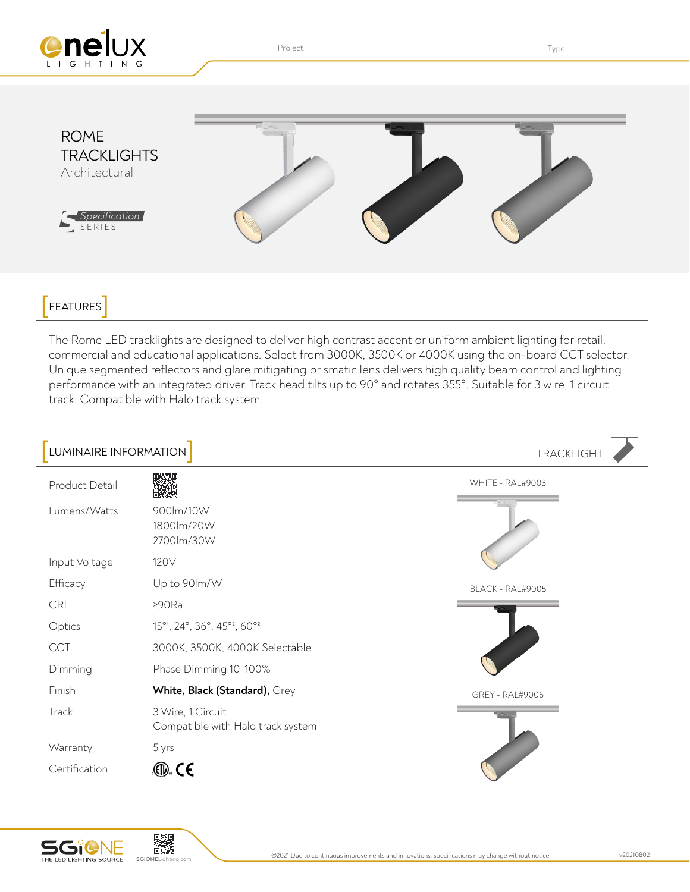

Project **Type Internal Contract Contract Contract Contract Contract Contract Contract Contract Contract Contract Contract Contract Contract Contract Contract Contract Contract Contract Contract Contract Contract Contract C** 



## FEATURES<sup>]</sup>

The Rome LED tracklights are designed to deliver high contrast accent or uniform ambient lighting for retail, commercial and educational applications. Select from 3000K, 3500K or 4000K using the on-board CCT selector. Unique segmented reflectors and glare mitigating prismatic lens delivers high quality beam control and lighting performance with an integrated driver. Track head tilts up to 90° and rotates 355°. Suitable for 3 wire, 1 circuit track. Compatible with Halo track system.

| LUMINAIRE INFORMATION |                                                                  | <b>TRACKLIGHT</b>      |
|-----------------------|------------------------------------------------------------------|------------------------|
| Product Detail        |                                                                  | WHITE - RAL#9003       |
| Lumens/Watts          | 900lm/10W<br>1800lm/20W<br>2700lm/30W                            |                        |
| Input Voltage         | 120V                                                             |                        |
| Efficacy              | Up to 90lm/W                                                     | BLACK - RAL#9005       |
| <b>CRI</b>            | >90Ra                                                            |                        |
| Optics                | 15° <sup>1</sup> , 24°, 36°, 45° <sup>2</sup> , 60° <sup>2</sup> |                        |
| <b>CCT</b>            | 3000K, 3500K, 4000K Selectable                                   |                        |
| Dimming               | Phase Dimming 10-100%                                            |                        |
| Finish                | White, Black (Standard), Grey                                    | <b>GREY - RAL#9006</b> |
| Track                 | 3 Wire, 1 Circuit<br>Compatible with Halo track system           |                        |
| Warranty              | 5 yrs                                                            |                        |
| Certification         | . (TI). C E                                                      |                        |